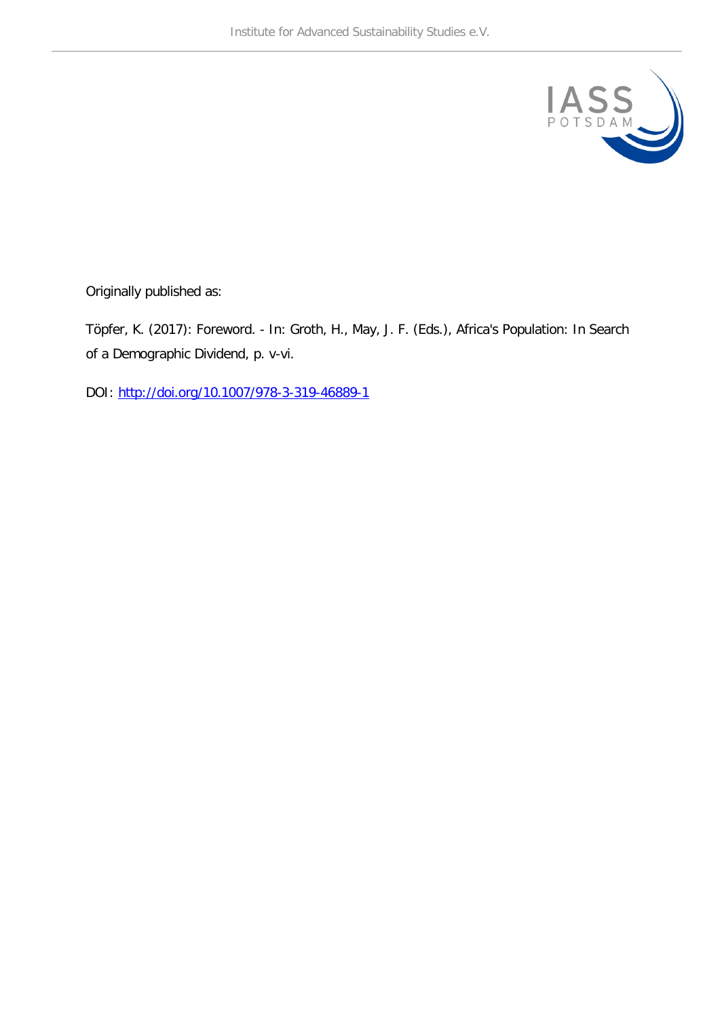

Originally published as:

Töpfer, K. (2017): Foreword. - In: Groth, H., May, J. F. (Eds.), Africa's Population: In Search of a Demographic Dividend, p. v-vi.

DOI:<http://doi.org/10.1007/978-3-319-46889-1>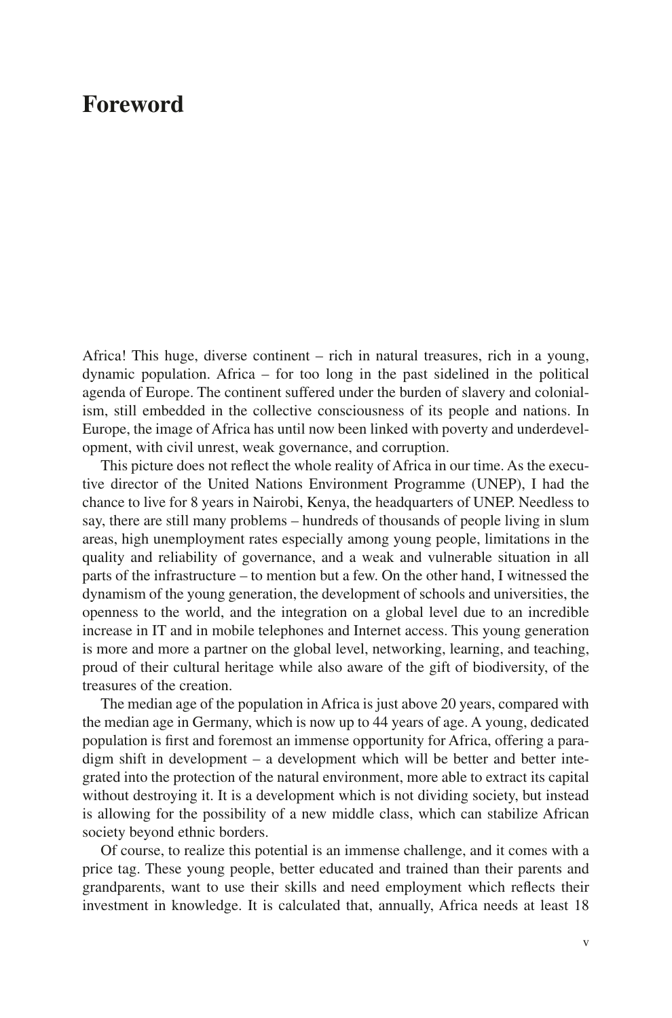## **Foreword**

Africa! This huge, diverse continent – rich in natural treasures, rich in a young, dynamic population. Africa – for too long in the past sidelined in the political agenda of Europe. The continent suffered under the burden of slavery and colonialism, still embedded in the collective consciousness of its people and nations. In Europe, the image of Africa has until now been linked with poverty and underdevelopment, with civil unrest, weak governance, and corruption.

This picture does not reflect the whole reality of Africa in our time. As the executive director of the United Nations Environment Programme (UNEP), I had the chance to live for 8 years in Nairobi, Kenya, the headquarters of UNEP. Needless to say, there are still many problems – hundreds of thousands of people living in slum areas, high unemployment rates especially among young people, limitations in the quality and reliability of governance, and a weak and vulnerable situation in all parts of the infrastructure – to mention but a few. On the other hand, I witnessed the dynamism of the young generation, the development of schools and universities, the openness to the world, and the integration on a global level due to an incredible increase in IT and in mobile telephones and Internet access. This young generation is more and more a partner on the global level, networking, learning, and teaching, proud of their cultural heritage while also aware of the gift of biodiversity, of the treasures of the creation.

The median age of the population in Africa is just above 20 years, compared with the median age in Germany, which is now up to 44 years of age. A young, dedicated population is first and foremost an immense opportunity for Africa, offering a paradigm shift in development – a development which will be better and better integrated into the protection of the natural environment, more able to extract its capital without destroying it. It is a development which is not dividing society, but instead is allowing for the possibility of a new middle class, which can stabilize African society beyond ethnic borders.

Of course, to realize this potential is an immense challenge, and it comes with a price tag. These young people, better educated and trained than their parents and grandparents, want to use their skills and need employment which reflects their investment in knowledge. It is calculated that, annually, Africa needs at least 18